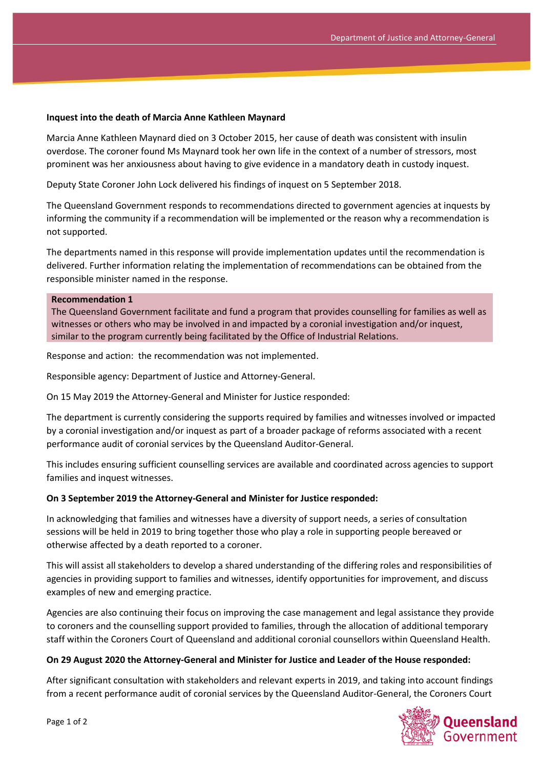## **Inquest into the death of Marcia Anne Kathleen Maynard**

Marcia Anne Kathleen Maynard died on 3 October 2015, her cause of death was consistent with insulin overdose. The coroner found Ms Maynard took her own life in the context of a number of stressors, most prominent was her anxiousness about having to give evidence in a mandatory death in custody inquest.

Deputy State Coroner John Lock delivered his findings of inquest on 5 September 2018.

The Queensland Government responds to recommendations directed to government agencies at inquests by informing the community if a recommendation will be implemented or the reason why a recommendation is not supported.

The departments named in this response will provide implementation updates until the recommendation is delivered. Further information relating the implementation of recommendations can be obtained from the responsible minister named in the response.

## **Recommendation 1**

The Queensland Government facilitate and fund a program that provides counselling for families as well as witnesses or others who may be involved in and impacted by a coronial investigation and/or inquest, similar to the program currently being facilitated by the Office of Industrial Relations.

Response and action: the recommendation was not implemented.

Responsible agency: Department of Justice and Attorney-General.

On 15 May 2019 the Attorney-General and Minister for Justice responded:

The department is currently considering the supports required by families and witnesses involved or impacted by a coronial investigation and/or inquest as part of a broader package of reforms associated with a recent performance audit of coronial services by the Queensland Auditor-General.

This includes ensuring sufficient counselling services are available and coordinated across agencies to support families and inquest witnesses.

## **On 3 September 2019 the Attorney-General and Minister for Justice responded:**

In acknowledging that families and witnesses have a diversity of support needs, a series of consultation sessions will be held in 2019 to bring together those who play a role in supporting people bereaved or otherwise affected by a death reported to a coroner.

This will assist all stakeholders to develop a shared understanding of the differing roles and responsibilities of agencies in providing support to families and witnesses, identify opportunities for improvement, and discuss examples of new and emerging practice.

Agencies are also continuing their focus on improving the case management and legal assistance they provide to coroners and the counselling support provided to families, through the allocation of additional temporary staff within the Coroners Court of Queensland and additional coronial counsellors within Queensland Health.

## **On 29 August 2020 the Attorney-General and Minister for Justice and Leader of the House responded:**

After significant consultation with stakeholders and relevant experts in 2019, and taking into account findings from a recent performance audit of coronial services by the Queensland Auditor-General, the Coroners Court